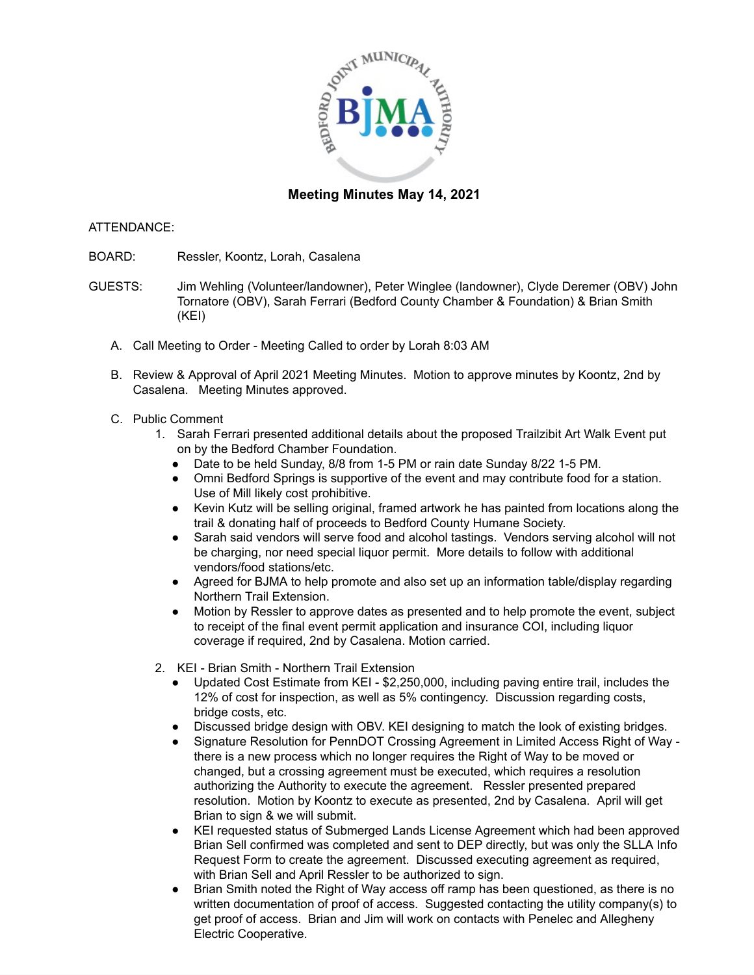

## **Meeting Minutes May 14, 2021**

## ATTENDANCE:

- BOARD: Ressler, Koontz, Lorah, Casalena
- GUESTS: Jim Wehling (Volunteer/landowner), Peter Winglee (landowner), Clyde Deremer (OBV) John Tornatore (OBV), Sarah Ferrari (Bedford County Chamber & Foundation) & Brian Smith (KEI)
	- A. Call Meeting to Order Meeting Called to order by Lorah 8:03 AM
	- B. Review & Approval of April 2021 Meeting Minutes. Motion to approve minutes by Koontz, 2nd by Casalena. Meeting Minutes approved.
	- C. Public Comment
		- 1. Sarah Ferrari presented additional details about the proposed Trailzibit Art Walk Event put on by the Bedford Chamber Foundation.
			- Date to be held Sunday, 8/8 from 1-5 PM or rain date Sunday 8/22 1-5 PM.
			- Omni Bedford Springs is supportive of the event and may contribute food for a station. Use of Mill likely cost prohibitive.
			- Kevin Kutz will be selling original, framed artwork he has painted from locations along the trail & donating half of proceeds to Bedford County Humane Society.
			- Sarah said vendors will serve food and alcohol tastings. Vendors serving alcohol will not be charging, nor need special liquor permit. More details to follow with additional vendors/food stations/etc.
			- Agreed for BJMA to help promote and also set up an information table/display regarding Northern Trail Extension.
			- Motion by Ressler to approve dates as presented and to help promote the event, subject to receipt of the final event permit application and insurance COI, including liquor coverage if required, 2nd by Casalena. Motion carried.
		- 2. KEI Brian Smith Northern Trail Extension
			- Updated Cost Estimate from KEI \$2,250,000, including paving entire trail, includes the 12% of cost for inspection, as well as 5% contingency. Discussion regarding costs, bridge costs, etc.
			- Discussed bridge design with OBV. KEI designing to match the look of existing bridges.
			- Signature Resolution for PennDOT Crossing Agreement in Limited Access Right of Way there is a new process which no longer requires the Right of Way to be moved or changed, but a crossing agreement must be executed, which requires a resolution authorizing the Authority to execute the agreement. Ressler presented prepared resolution. Motion by Koontz to execute as presented, 2nd by Casalena. April will get Brian to sign & we will submit.
			- KEI requested status of Submerged Lands License Agreement which had been approved Brian Sell confirmed was completed and sent to DEP directly, but was only the SLLA Info Request Form to create the agreement. Discussed executing agreement as required, with Brian Sell and April Ressler to be authorized to sign.
			- Brian Smith noted the Right of Way access off ramp has been questioned, as there is no written documentation of proof of access. Suggested contacting the utility company(s) to get proof of access. Brian and Jim will work on contacts with Penelec and Allegheny Electric Cooperative.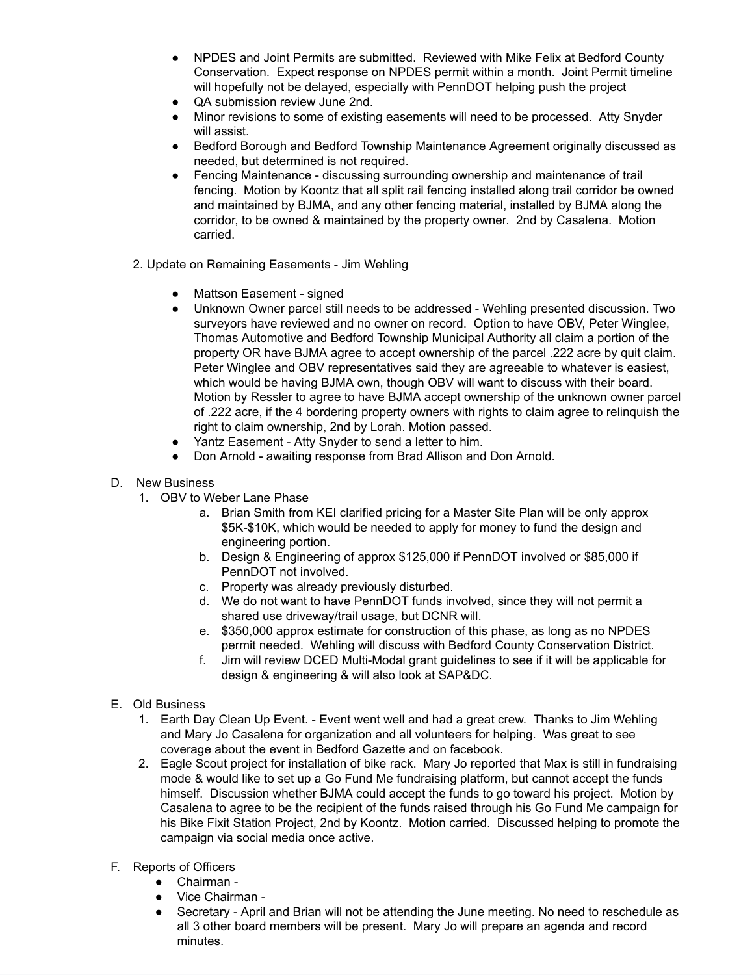- NPDES and Joint Permits are submitted. Reviewed with Mike Felix at Bedford County Conservation. Expect response on NPDES permit within a month. Joint Permit timeline will hopefully not be delayed, especially with PennDOT helping push the project
- QA submission review June 2nd.
- Minor revisions to some of existing easements will need to be processed. Atty Snyder will assist.
- Bedford Borough and Bedford Township Maintenance Agreement originally discussed as needed, but determined is not required.
- Fencing Maintenance discussing surrounding ownership and maintenance of trail fencing. Motion by Koontz that all split rail fencing installed along trail corridor be owned and maintained by BJMA, and any other fencing material, installed by BJMA along the corridor, to be owned & maintained by the property owner. 2nd by Casalena. Motion carried.
- 2. Update on Remaining Easements Jim Wehling
	- Mattson Easement signed
	- Unknown Owner parcel still needs to be addressed Wehling presented discussion. Two surveyors have reviewed and no owner on record. Option to have OBV, Peter Winglee, Thomas Automotive and Bedford Township Municipal Authority all claim a portion of the property OR have BJMA agree to accept ownership of the parcel .222 acre by quit claim. Peter Winglee and OBV representatives said they are agreeable to whatever is easiest, which would be having BJMA own, though OBV will want to discuss with their board. Motion by Ressler to agree to have BJMA accept ownership of the unknown owner parcel of .222 acre, if the 4 bordering property owners with rights to claim agree to relinquish the right to claim ownership, 2nd by Lorah. Motion passed.
	- Yantz Easement Atty Snyder to send a letter to him.
	- Don Arnold awaiting response from Brad Allison and Don Arnold.
- D. New Business
	- 1. OBV to Weber Lane Phase
		- a. Brian Smith from KEI clarified pricing for a Master Site Plan will be only approx \$5K-\$10K, which would be needed to apply for money to fund the design and engineering portion.
		- b. Design & Engineering of approx \$125,000 if PennDOT involved or \$85,000 if PennDOT not involved.
		- c. Property was already previously disturbed.
		- d. We do not want to have PennDOT funds involved, since they will not permit a shared use driveway/trail usage, but DCNR will.
		- e. \$350,000 approx estimate for construction of this phase, as long as no NPDES permit needed. Wehling will discuss with Bedford County Conservation District.
		- f. Jim will review DCED Multi-Modal grant guidelines to see if it will be applicable for design & engineering & will also look at SAP&DC.
- E. Old Business
	- 1. Earth Day Clean Up Event. Event went well and had a great crew. Thanks to Jim Wehling and Mary Jo Casalena for organization and all volunteers for helping. Was great to see coverage about the event in Bedford Gazette and on facebook.
	- 2. Eagle Scout project for installation of bike rack. Mary Jo reported that Max is still in fundraising mode & would like to set up a Go Fund Me fundraising platform, but cannot accept the funds himself. Discussion whether BJMA could accept the funds to go toward his project. Motion by Casalena to agree to be the recipient of the funds raised through his Go Fund Me campaign for his Bike Fixit Station Project, 2nd by Koontz. Motion carried. Discussed helping to promote the campaign via social media once active.
- F. Reports of Officers
	- Chairman -
	- Vice Chairman -
	- Secretary April and Brian will not be attending the June meeting. No need to reschedule as all 3 other board members will be present. Mary Jo will prepare an agenda and record minutes.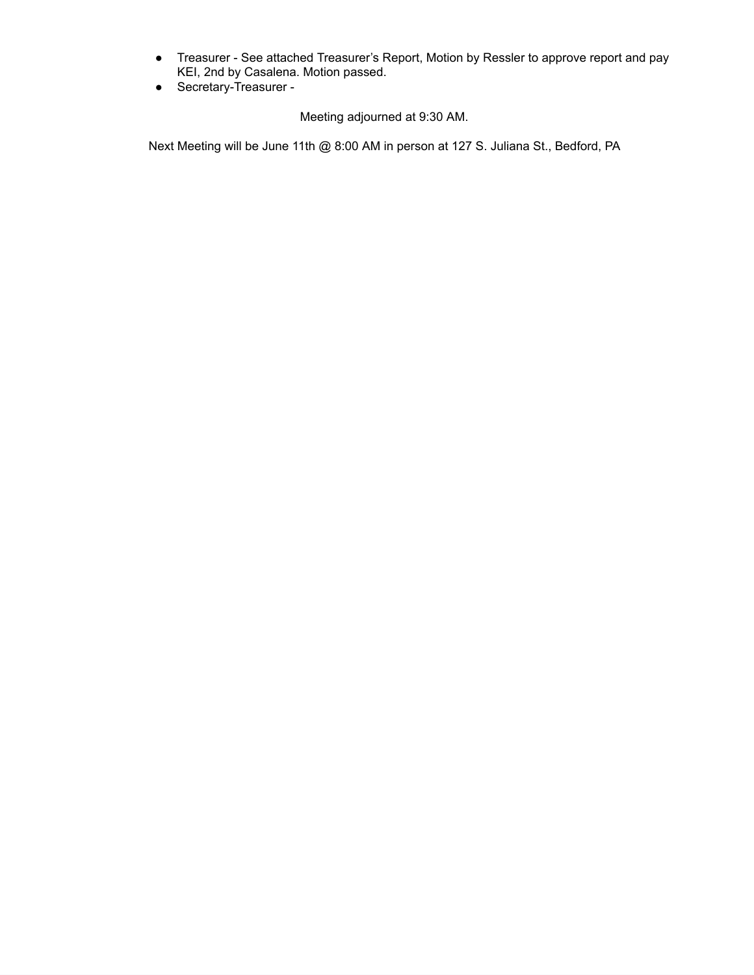- Treasurer See attached Treasurer's Report, Motion by Ressler to approve report and pay KEI, 2nd by Casalena. Motion passed.
- Secretary-Treasurer -

Meeting adjourned at 9:30 AM.

Next Meeting will be June 11th @ 8:00 AM in person at 127 S. Juliana St., Bedford, PA